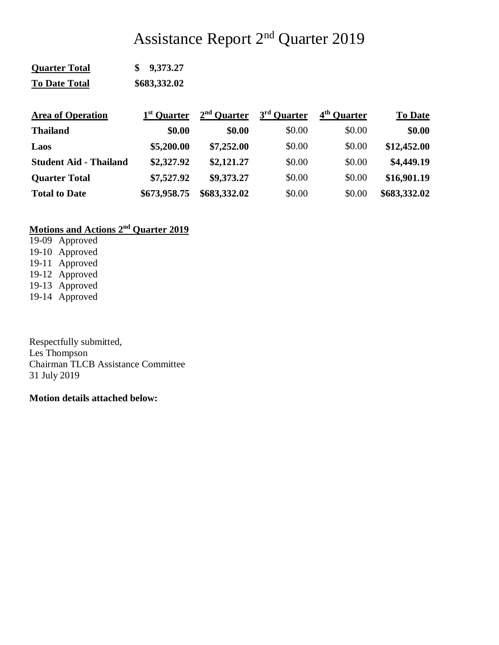# Assistance Report 2nd Quarter 2019

| <b>Quarter Total</b> | \$9,373.27   |
|----------------------|--------------|
| <b>To Date Total</b> | \$683,332.02 |

| <b>Area of Operation</b>      | 1 <sup>st</sup> Quarter | $2nd$ Ouarter | 3 <sup>rd</sup> Quarter | 4 <sup>th</sup> Quarter | <b>To Date</b> |
|-------------------------------|-------------------------|---------------|-------------------------|-------------------------|----------------|
| <b>Thailand</b>               | \$0.00                  | \$0.00        | \$0.00                  | \$0.00                  | \$0.00         |
| Laos                          | \$5,200.00              | \$7,252.00    | \$0.00                  | \$0.00                  | \$12,452.00    |
| <b>Student Aid - Thailand</b> | \$2,327.92              | \$2,121.27    | \$0.00                  | \$0.00                  | \$4,449.19     |
| <b>Quarter Total</b>          | \$7,527.92              | \$9,373.27    | \$0.00                  | \$0.00                  | \$16,901.19    |
| <b>Total to Date</b>          | \$673,958.75            | \$683,332.02  | \$0.00                  | \$0.00                  | \$683,332.02   |

# **Motions and Actions 2nd Quarter 2019**

19-09 Approved 19-10 Approved 19-11 Approved 19-12 Approved 19-13 Approved 19-14 Approved

Respectfully submitted, Les Thompson Chairman TLCB Assistance Committee 31 July 2019

**Motion details attached below:**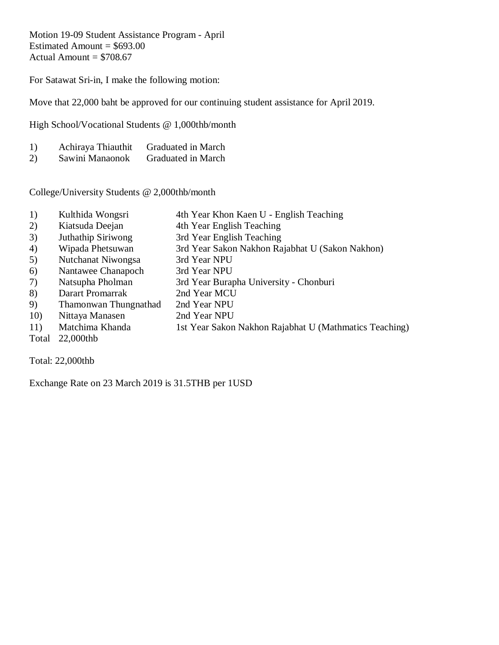Motion 19-09 Student Assistance Program - April Estimated Amount =  $$693.00$ Actual Amount  $= $708.67$ 

For Satawat Sri-in, I make the following motion:

Move that 22,000 baht be approved for our continuing student assistance for April 2019.

High School/Vocational Students @ 1,000thb/month

| 1) | Achiraya Thiauthit | <b>Graduated in March</b> |
|----|--------------------|---------------------------|
| 2) | Sawini Manaonok    | Graduated in March        |

College/University Students @ 2,000thb/month

- 1) Kulthida Wongsri 4th Year Khon Kaen U English Teaching
- 2) Kiatsuda Deejan 4th Year English Teaching
- 3) Juthathip Siriwong 3rd Year English Teaching
- 4) Wipada Phetsuwan 3rd Year Sakon Nakhon Rajabhat U (Sakon Nakhon)
- 5) Nutchanat Niwongsa 3rd Year NPU
- 6) Nantawee Chanapoch 3rd Year NPU
- 7) Natsupha Pholman 3rd Year Burapha University Chonburi
- 8) Darart Promarrak 2nd Year MCU
- 9) Thamonwan Thungnathad 2nd Year NPU
- 10) Nittaya Manasen 2nd Year NPU
- 11) Matchima Khanda 1st Year Sakon Nakhon Rajabhat U (Mathmatics Teaching)
- Total 22,000thb

Total: 22,000thb

Exchange Rate on 23 March 2019 is 31.5THB per 1USD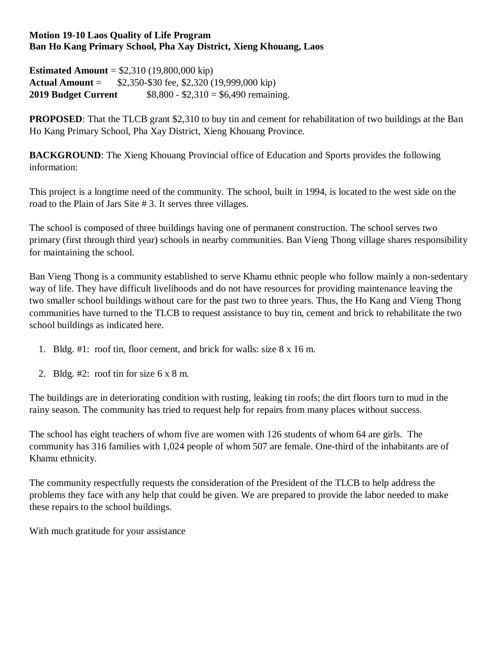#### **Motion 19-10 Laos Quality of Life Program Ban Ho Kang Primary School, Pha Xay District, Xieng Khouang, Laos**

**Estimated Amount** = \$2,310 (19,800,000 kip) **Actual Amount** = \$2,350-\$30 fee, \$2,320 (19,999,000 kip) **2019 Budget Current** \$8,800 - \$2,310 = \$6,490 remaining.

**PROPOSED**: That the TLCB grant \$2,310 to buy tin and cement for rehabilitation of two buildings at the Ban Ho Kang Primary School, Pha Xay District, Xieng Khouang Province.

**BACKGROUND:** The Xieng Khouang Provincial office of Education and Sports provides the following information:

This project is a longtime need of the community. The school, built in 1994, is located to the west side on the road to the Plain of Jars Site # 3. It serves three villages.

The school is composed of three buildings having one of permanent construction. The school serves two primary (first through third year) schools in nearby communities. Ban Vieng Thong village shares responsibility for maintaining the school.

Ban Vieng Thong is a community established to serve Khamu ethnic people who follow mainly a non-sedentary way of life. They have difficult livelihoods and do not have resources for providing maintenance leaving the two smaller school buildings without care for the past two to three years. Thus, the Ho Kang and Vieng Thong communities have turned to the TLCB to request assistance to buy tin, cement and brick to rehabilitate the two school buildings as indicated here.

- 1. Bldg. #1: roof tin, floor cement, and brick for walls: size 8 x 16 m.
- 2. Bldg. #2: roof tin for size 6 x 8 m.

The buildings are in deteriorating condition with rusting, leaking tin roofs; the dirt floors turn to mud in the rainy season. The community has tried to request help for repairs from many places without success.

The school has eight teachers of whom five are women with 126 students of whom 64 are girls. The community has 316 families with 1,024 people of whom 507 are female. One-third of the inhabitants are of Khamu ethnicity.

The community respectfully requests the consideration of the President of the TLCB to help address the problems they face with any help that could be given. We are prepared to provide the labor needed to make these repairs to the school buildings.

With much gratitude for your assistance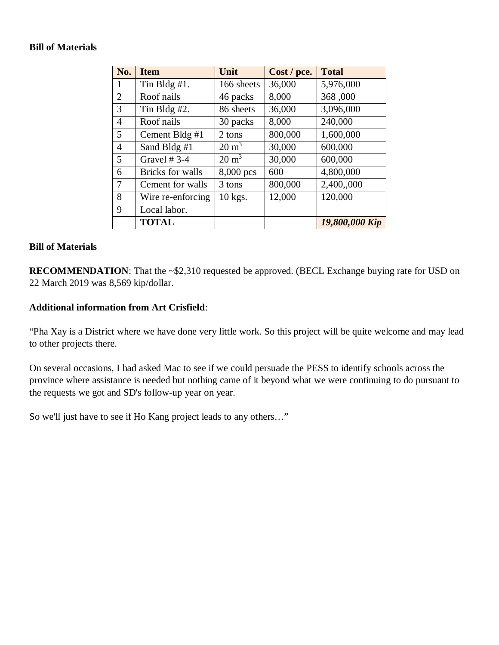#### **Bill of Materials**

| No.            | <b>Item</b>             | Unit             | Cost / pce. | <b>Total</b>   |
|----------------|-------------------------|------------------|-------------|----------------|
| 1              | Tin Bldg #1.            | 166 sheets       | 36,000      | 5,976,000      |
| $\overline{2}$ | Roof nails              | 46 packs         | 8,000       | 368,000        |
| 3              | Tin Bldg $#2$ .         | 86 sheets        | 36,000      | 3,096,000      |
| $\overline{4}$ | Roof nails              | 30 packs         | 8,000       | 240,000        |
| 5              | Cement Bldg #1          | 2 tons           | 800,000     | 1,600,000      |
| $\overline{4}$ | Sand Bldg #1            | $20 \text{ m}^3$ | 30,000      | 600,000        |
| 5              | Gravel $# 3-4$          | $20 \text{ m}^3$ | 30,000      | 600,000        |
| 6              | <b>Bricks</b> for walls | 8,000 pcs        | 600         | 4,800,000      |
| $\overline{7}$ | Cement for walls        | 3 tons           | 800,000     | 2,400,,000     |
| 8              | Wire re-enforcing       | $10$ kgs.        | 12,000      | 120,000        |
| 9              | Local labor.            |                  |             |                |
|                | <b>TOTAL</b>            |                  |             | 19,800,000 Kip |

### **Bill of Materials**

**RECOMMENDATION:** That the ~\$2,310 requested be approved. (BECL Exchange buying rate for USD on 22 March 2019 was 8,569 kip/dollar.

#### **Additional information from Art Crisfield**:

"Pha Xay is a District where we have done very little work. So this project will be quite welcome and may lead to other projects there.

On several occasions, I had asked Mac to see if we could persuade the PESS to identify schools across the province where assistance is needed but nothing came of it beyond what we were continuing to do pursuant to the requests we got and SD's follow-up year on year.

So we'll just have to see if Ho Kang project leads to any others…"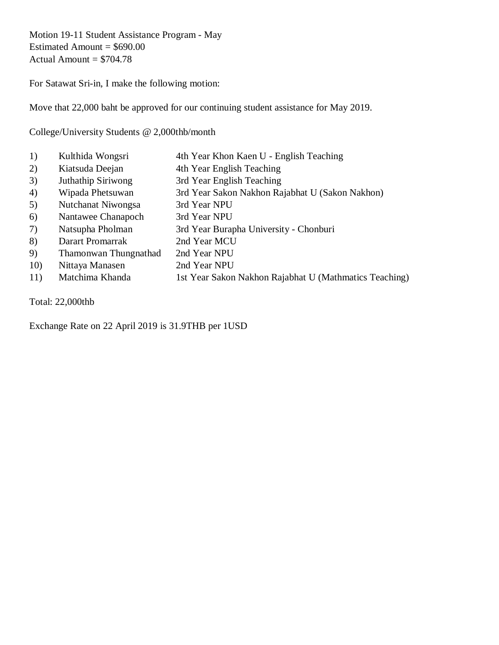Motion 19-11 Student Assistance Program - May Estimated Amount =  $$690.00$ Actual Amount  $= $704.78$ 

For Satawat Sri-in, I make the following motion:

Move that 22,000 baht be approved for our continuing student assistance for May 2019.

College/University Students @ 2,000thb/month

1) Kulthida Wongsri 4th Year Khon Kaen U - English Teaching 2) Kiatsuda Deejan 4th Year English Teaching 3) Juthathip Siriwong 3rd Year English Teaching 4) Wipada Phetsuwan 3rd Year Sakon Nakhon Rajabhat U (Sakon Nakhon) 5) Nutchanat Niwongsa 3rd Year NPU 6) Nantawee Chanapoch 3rd Year NPU 7) Natsupha Pholman 3rd Year Burapha University - Chonburi 8) Darart Promarrak 2nd Year MCU 9) Thamonwan Thungnathad 2nd Year NPU 10) Nittaya Manasen 2nd Year NPU 11) Matchima Khanda 1st Year Sakon Nakhon Rajabhat U (Mathmatics Teaching)

Total: 22,000thb

Exchange Rate on 22 April 2019 is 31.9THB per 1USD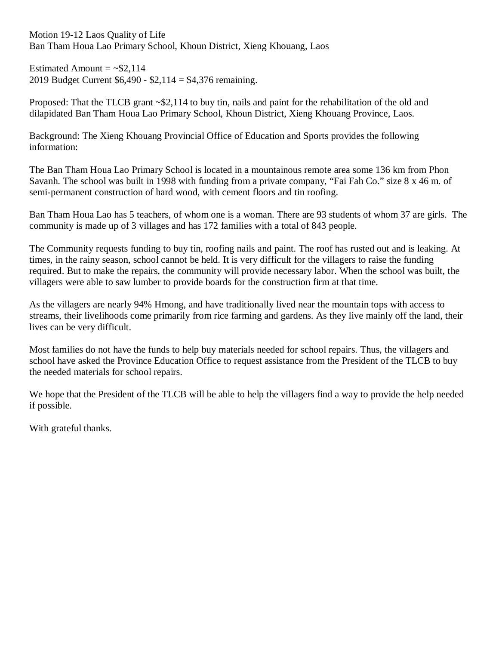Motion 19-12 Laos Quality of Life Ban Tham Houa Lao Primary School, Khoun District, Xieng Khouang, Laos

Estimated Amount  $=$  ~\$2,114 2019 Budget Current \$6,490 - \$2,114 = \$4,376 remaining.

Proposed: That the TLCB grant ~\$2,114 to buy tin, nails and paint for the rehabilitation of the old and dilapidated Ban Tham Houa Lao Primary School, Khoun District, Xieng Khouang Province, Laos.

Background: The Xieng Khouang Provincial Office of Education and Sports provides the following information:

The Ban Tham Houa Lao Primary School is located in a mountainous remote area some 136 km from Phon Savanh. The school was built in 1998 with funding from a private company, "Fai Fah Co." size 8 x 46 m. of semi-permanent construction of hard wood, with cement floors and tin roofing.

Ban Tham Houa Lao has 5 teachers, of whom one is a woman. There are 93 students of whom 37 are girls. The community is made up of 3 villages and has 172 families with a total of 843 people.

The Community requests funding to buy tin, roofing nails and paint. The roof has rusted out and is leaking. At times, in the rainy season, school cannot be held. It is very difficult for the villagers to raise the funding required. But to make the repairs, the community will provide necessary labor. When the school was built, the villagers were able to saw lumber to provide boards for the construction firm at that time.

As the villagers are nearly 94% Hmong, and have traditionally lived near the mountain tops with access to streams, their livelihoods come primarily from rice farming and gardens. As they live mainly off the land, their lives can be very difficult.

Most families do not have the funds to help buy materials needed for school repairs. Thus, the villagers and school have asked the Province Education Office to request assistance from the President of the TLCB to buy the needed materials for school repairs.

We hope that the President of the TLCB will be able to help the villagers find a way to provide the help needed if possible.

With grateful thanks.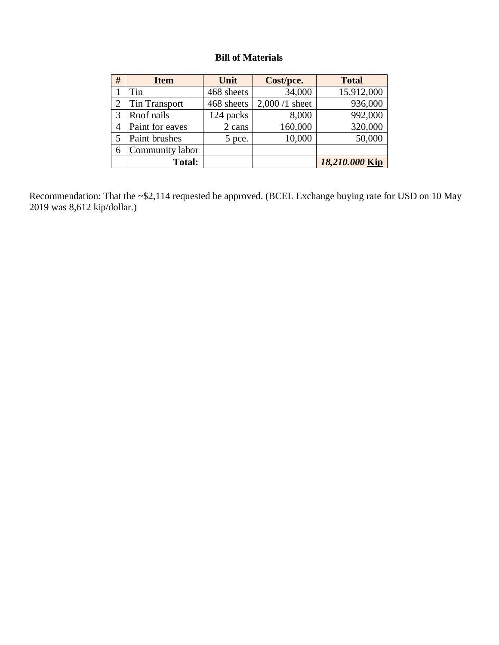## **Bill of Materials**

| # | <b>Item</b>          | Unit       | Cost/pce.       | <b>Total</b>   |
|---|----------------------|------------|-----------------|----------------|
|   | Tin                  | 468 sheets | 34,000          | 15,912,000     |
|   | <b>Tin Transport</b> | 468 sheets | $2,000/1$ sheet | 936,000        |
| 3 | Roof nails           | 124 packs  | 8,000           | 992,000        |
| 4 | Paint for eaves      | 2 cans     | 160,000         | 320,000        |
|   | Paint brushes        | 5 pce.     | 10,000          | 50,000         |
| 6 | Community labor      |            |                 |                |
|   | <b>Total:</b>        |            |                 | 18,210.000 Kip |

Recommendation: That the ~\$2,114 requested be approved. (BCEL Exchange buying rate for USD on 10 May 2019 was 8,612 kip/dollar.)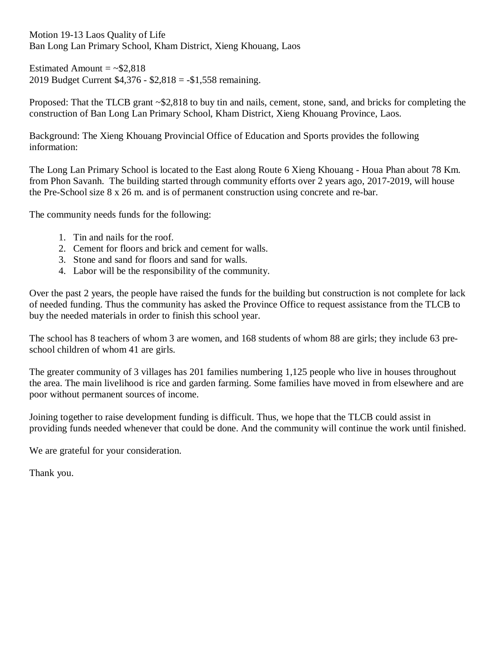Motion 19-13 Laos Quality of Life Ban Long Lan Primary School, Kham District, Xieng Khouang, Laos

Estimated Amount  $= \sim $2.818$ 2019 Budget Current \$4,376 - \$2,818 = -\$1,558 remaining.

Proposed: That the TLCB grant ~\$2,818 to buy tin and nails, cement, stone, sand, and bricks for completing the construction of Ban Long Lan Primary School, Kham District, Xieng Khouang Province, Laos.

Background: The Xieng Khouang Provincial Office of Education and Sports provides the following information:

The Long Lan Primary School is located to the East along Route 6 Xieng Khouang - Houa Phan about 78 Km. from Phon Savanh. The building started through community efforts over 2 years ago, 2017-2019, will house the Pre-School size 8 x 26 m. and is of permanent construction using concrete and re-bar.

The community needs funds for the following:

- 1. Tin and nails for the roof.
- 2. Cement for floors and brick and cement for walls.
- 3. Stone and sand for floors and sand for walls.
- 4. Labor will be the responsibility of the community.

Over the past 2 years, the people have raised the funds for the building but construction is not complete for lack of needed funding. Thus the community has asked the Province Office to request assistance from the TLCB to buy the needed materials in order to finish this school year.

The school has 8 teachers of whom 3 are women, and 168 students of whom 88 are girls; they include 63 preschool children of whom 41 are girls.

The greater community of 3 villages has 201 families numbering 1,125 people who live in houses throughout the area. The main livelihood is rice and garden farming. Some families have moved in from elsewhere and are poor without permanent sources of income.

Joining together to raise development funding is difficult. Thus, we hope that the TLCB could assist in providing funds needed whenever that could be done. And the community will continue the work until finished.

We are grateful for your consideration.

Thank you.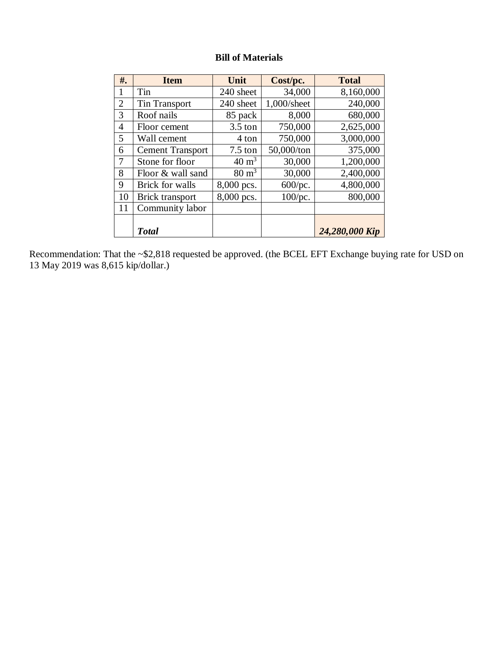# **Bill of Materials**

| #.             | <b>Item</b>             | Unit              | Cost/pc.    | <b>Total</b>   |
|----------------|-------------------------|-------------------|-------------|----------------|
| $\mathbf{I}$   | Tin                     | 240 sheet         | 34,000      | 8,160,000      |
| $\overline{2}$ | <b>Tin Transport</b>    | 240 sheet         | 1,000/sheet | 240,000        |
| 3              | Roof nails              | 85 pack           | 8,000       | 680,000        |
| 4              | Floor cement            | $3.5 \text{ ton}$ | 750,000     | 2,625,000      |
| 5              | Wall cement             | 4 ton             | 750,000     | 3,000,000      |
| 6              | <b>Cement Transport</b> | $7.5$ ton         | 50,000/ton  | 375,000        |
|                | Stone for floor         | $40 \text{ m}^3$  | 30,000      | 1,200,000      |
| 8              | Floor & wall sand       | $80 \text{ m}^3$  | 30,000      | 2,400,000      |
| 9              | <b>Brick for walls</b>  | 8,000 pcs.        | 600/pc.     | 4,800,000      |
| 10             | <b>Brick transport</b>  | 8,000 pcs.        | $100$ /pc.  | 800,000        |
| 11             | Community labor         |                   |             |                |
|                |                         |                   |             |                |
|                | <b>Total</b>            |                   |             | 24,280,000 Kip |

Recommendation: That the ~\$2,818 requested be approved. (the BCEL EFT Exchange buying rate for USD on 13 May 2019 was 8,615 kip/dollar.)